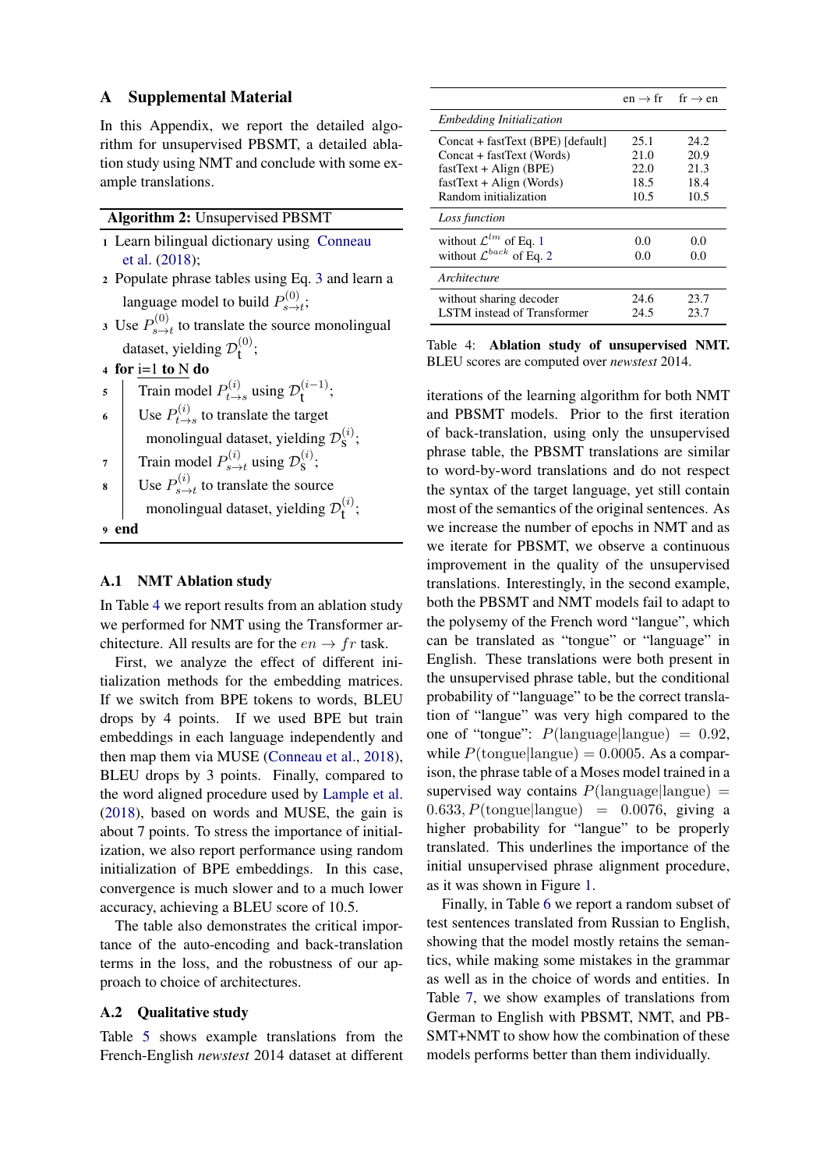## A Supplemental Material

In this Appendix, we report the detailed algorithm for unsupervised PBSMT, a detailed ablation study using NMT and conclude with some example translations.

| <b>Algorithm 2: Unsupervised PBSMT</b> |  |  |
|----------------------------------------|--|--|
|----------------------------------------|--|--|

- <sup>1</sup> Learn bilingual dictionary using Conneau et al. (2018);
- <sup>2</sup> Populate phrase tables using Eq. 3 and learn a language model to build  $P_{s \rightarrow s}^{(0)}$  $\sum_{s\rightarrow t}^{(0)}$
- 3 Use  $P_{s\rightarrow}^{(0)}$  $s \rightarrow t$  to translate the source monolingual dataset, yielding  $\mathcal{D}_{t}^{(0)}$ ;
- 4 for  $i=1$  to  $N$  do
- 5 Train model  $P_{t\rightarrow}^{(i)}$  $p_{t\to s}^{(i)}$  using  $\mathcal{D}_{t}^{(i-1)}$ ;
- 6 Use  $P_{t\rightarrow}^{(i)}$  $t \to s$  to translate the target monolingual dataset, yielding  $\mathcal{D}_\mathbf{S}^{(i)}$ ;
- 7 Train model  $P_{s \to s}^{(i)}$  $p_s^{(i)}$  using  $\mathcal{D}_\mathbf{S}^{(i)}$ ;
- 8 Use  $P_{s \to s}^{(i)}$  $s \rightarrow t$  to translate the source
	- monolingual dataset, yielding  $\mathcal{D}_{t}^{(i)}$ ;
- <sup>9</sup> end

## A.1 NMT Ablation study

In Table 4 we report results from an ablation study we performed for NMT using the Transformer architecture. All results are for the  $en \rightarrow fr$  task.

First, we analyze the effect of different initialization methods for the embedding matrices. If we switch from BPE tokens to words, BLEU drops by 4 points. If we used BPE but train embeddings in each language independently and then map them via MUSE (Conneau et al., 2018), BLEU drops by 3 points. Finally, compared to the word aligned procedure used by Lample et al. (2018), based on words and MUSE, the gain is about 7 points. To stress the importance of initialization, we also report performance using random initialization of BPE embeddings. In this case, convergence is much slower and to a much lower accuracy, achieving a BLEU score of 10.5.

The table also demonstrates the critical importance of the auto-encoding and back-translation terms in the loss, and the robustness of our approach to choice of architectures.

## A.2 Qualitative study

Table 5 shows example translations from the French-English *newstest* 2014 dataset at different

|                                       | $en \rightarrow fr$ fr $\rightarrow en$ |      |
|---------------------------------------|-----------------------------------------|------|
| <i>Embedding Initialization</i>       |                                         |      |
| Concat + fastText (BPE) [default]     | 25.1                                    | 24.2 |
| Concat + fastText (Words)             | 21.0                                    | 20.9 |
| $fastText + Align(BPE)$               | 22.0                                    | 21.3 |
| $fastText + Align (Words)$            | 18.5                                    | 18.4 |
| Random initialization                 | 10.5                                    | 10.5 |
| Loss function                         |                                         |      |
| without $\mathcal{L}^{lm}$ of Eq. 1   | 0.0                                     | 0.0  |
| without $\mathcal{L}^{back}$ of Eq. 2 | 0.0                                     | 0.0  |
| Architecture                          |                                         |      |
| without sharing decoder               | 24.6                                    | 23.7 |
| LSTM instead of Transformer           | 24.5                                    | 23.7 |

Table 4: Ablation study of unsupervised NMT. BLEU scores are computed over *newstest* 2014.

iterations of the learning algorithm for both NMT and PBSMT models. Prior to the first iteration of back-translation, using only the unsupervised phrase table, the PBSMT translations are similar to word-by-word translations and do not respect the syntax of the target language, yet still contain most of the semantics of the original sentences. As we increase the number of epochs in NMT and as we iterate for PBSMT, we observe a continuous improvement in the quality of the unsupervised translations. Interestingly, in the second example, both the PBSMT and NMT models fail to adapt to the polysemy of the French word "langue", which can be translated as "tongue" or "language" in English. These translations were both present in the unsupervised phrase table, but the conditional probability of "language" to be the correct translation of "langue" was very high compared to the one of "tongue":  $P(\text{language}|\text{language}) = 0.92,$ while  $P(\text{tongue}|\text{language}) = 0.0005$ . As a comparison, the phrase table of a Moses model trained in a supervised way contains  $P(\text{language}|\text{language}) =$  $0.633, P(\text{tongue}|\text{language}) = 0.0076,$  giving a higher probability for "langue" to be properly translated. This underlines the importance of the initial unsupervised phrase alignment procedure, as it was shown in Figure 1.

Finally, in Table 6 we report a random subset of test sentences translated from Russian to English, showing that the model mostly retains the semantics, while making some mistakes in the grammar as well as in the choice of words and entities. In Table 7, we show examples of translations from German to English with PBSMT, NMT, and PB-SMT+NMT to show how the combination of these models performs better than them individually.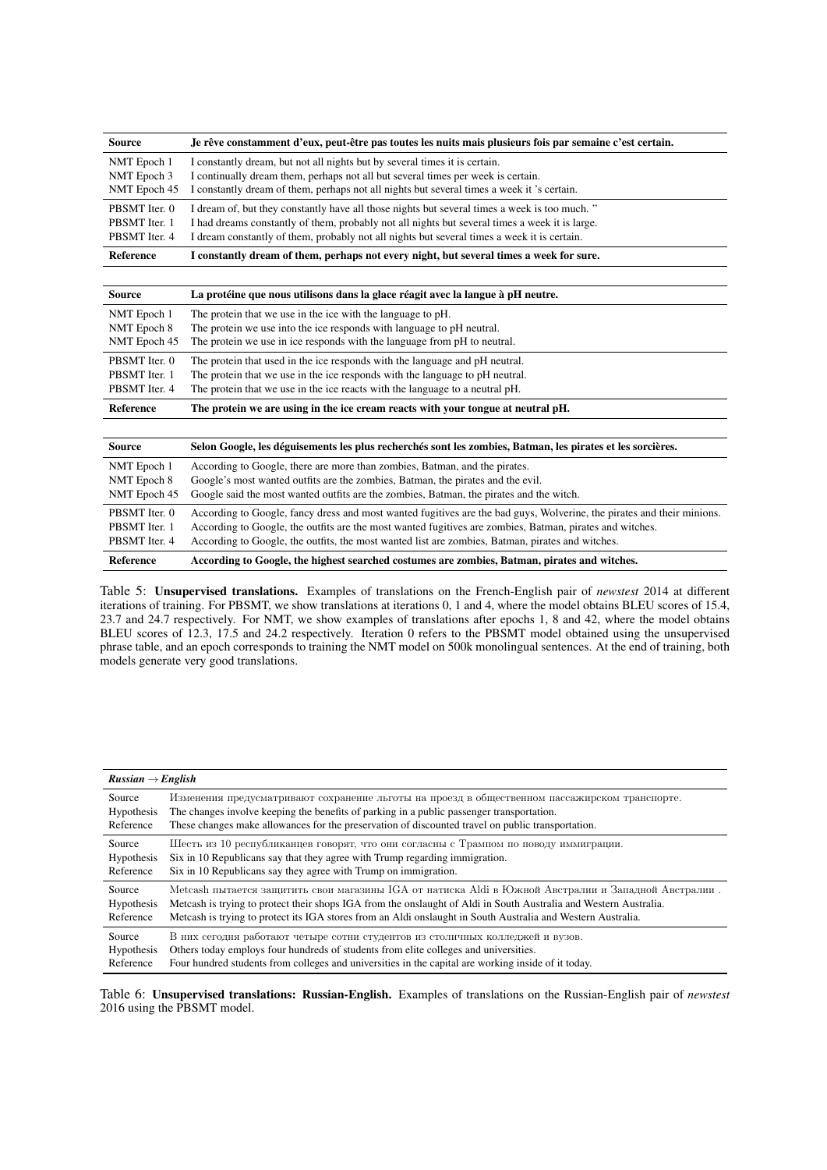| <b>Source</b>    | Je rêve constamment d'eux, peut-être pas toutes les nuits mais plusieurs fois par semaine c'est certain. |
|------------------|----------------------------------------------------------------------------------------------------------|
| NMT Epoch 1      | I constantly dream, but not all nights but by several times it is certain.                               |
| NMT Epoch 3      | I continually dream them, perhaps not all but several times per week is certain.                         |
| NMT Epoch 45     | I constantly dream of them, perhaps not all nights but several times a week it 's certain.               |
| PBSMT Iter. 0    | I dream of, but they constantly have all those nights but several times a week is too much."             |
| PBSMT Iter. 1    | I had dreams constantly of them, probably not all nights but several times a week it is large.           |
| PBSMT Iter. 4    | I dream constantly of them, probably not all nights but several times a week it is certain.              |
| <b>Reference</b> | I constantly dream of them, perhaps not every night, but several times a week for sure.                  |

| <b>Source</b> | La protéine que nous utilisons dans la glace réagit avec la langue à pH neutre.  |
|---------------|----------------------------------------------------------------------------------|
| NMT Epoch 1   | The protein that we use in the ice with the language to pH.                      |
| NMT Epoch 8   | The protein we use into the ice responds with language to pH neutral.            |
| NMT Epoch 45  | The protein we use in ice responds with the language from pH to neutral.         |
| PBSMT Iter. 0 | The protein that used in the ice responds with the language and pH neutral.      |
| PBSMT Iter. 1 | The protein that we use in the ice responds with the language to pH neutral.     |
| PBSMT Iter. 4 | The protein that we use in the ice reacts with the language to a neutral pH.     |
| Reference     | The protein we are using in the ice cream reacts with your tongue at neutral pH. |

| Source           | Selon Google, les déguisements les plus recherchés sont les zombies, Batman, les pirates et les sorcières.             |
|------------------|------------------------------------------------------------------------------------------------------------------------|
| NMT Epoch 1      | According to Google, there are more than zombies, Batman, and the pirates.                                             |
| NMT Epoch 8      | Google's most wanted outfits are the zombies, Batman, the pirates and the evil.                                        |
| NMT Epoch 45     | Google said the most wanted outfits are the zombies, Batman, the pirates and the witch.                                |
| PBSMT Iter. 0    | According to Google, fancy dress and most wanted fugitives are the bad guys, Wolverine, the pirates and their minions. |
| PBSMT Iter. 1    | According to Google, the outfits are the most wanted fugitives are zombies, Batman, pirates and witches.               |
| PBSMT Iter. 4    | According to Google, the outfits, the most wanted list are zombies, Batman, pirates and witches.                       |
| <b>Reference</b> | According to Google, the highest searched costumes are zombies, Batman, pirates and witches.                           |

Table 5: Unsupervised translations. Examples of translations on the French-English pair of *newstest* 2014 at different iterations of training. For PBSMT, we show translations at iterations 0, 1 and 4, where the model obtains BLEU scores of 15.4, 23.7 and 24.7 respectively. For NMT, we show examples of translations after epochs 1, 8 and 42, where the model obtains BLEU scores of 12.3, 17.5 and 24.2 respectively. Iteration 0 refers to the PBSMT model obtained using the unsupervised phrase table, and an epoch corresponds to training the NMT model on 500k monolingual sentences. At the end of training, both models generate very good translations.

| $Russian \rightarrow English$ |                                                                                                                   |
|-------------------------------|-------------------------------------------------------------------------------------------------------------------|
| Source                        | Изменения предусматривают сохранение льготы на проезд в общественном пассажирском транспорте.                     |
| <b>Hypothesis</b>             | The changes involve keeping the benefits of parking in a public passenger transportation.                         |
| Reference                     | These changes make allowances for the preservation of discounted travel on public transportation.                 |
| Source                        | Шесть из 10 республиканцев говорят, что они согласны с Трампом по поводу иммиграции.                              |
| Hypothesis                    | Six in 10 Republicans say that they agree with Trump regarding immigration.                                       |
| Reference                     | Six in 10 Republicans say they agree with Trump on immigration.                                                   |
| Source                        | . Меtcash пытается защитить свои магазины IGA от натиска Aldi в Южной Австралии и Западной Австралии              |
| Hypothesis                    | Metcash is trying to protect their shops IGA from the onslaught of Aldi in South Australia and Western Australia. |
| Reference                     | Metcash is trying to protect its IGA stores from an Aldi onslaught in South Australia and Western Australia.      |
| Source                        | В них сегодня работают четыре сотни студентов из столичных колледжей и вузов.                                     |
| <b>Hypothesis</b>             | Others today employs four hundreds of students from elite colleges and universities.                              |
| Reference                     | Four hundred students from colleges and universities in the capital are working inside of it today.               |

Table 6: Unsupervised translations: Russian-English. Examples of translations on the Russian-English pair of *newstest* 2016 using the PBSMT model.